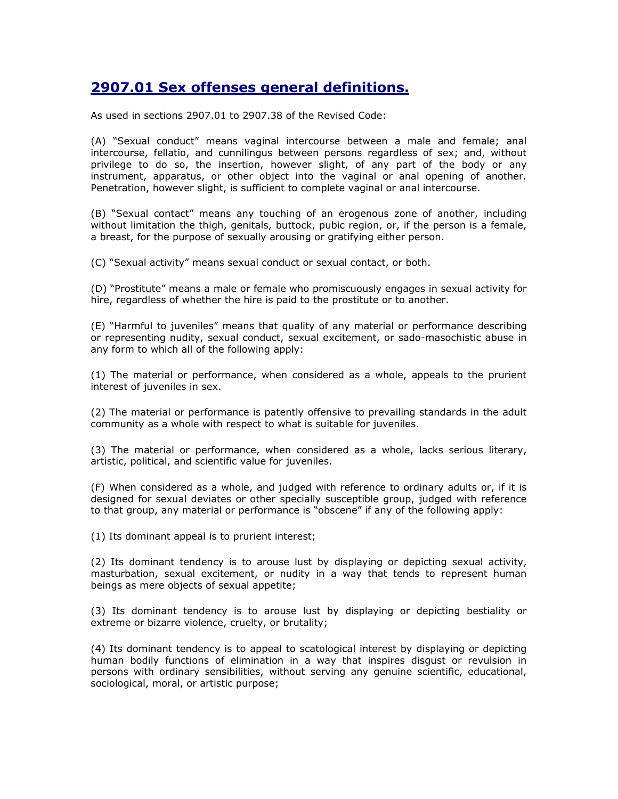## 2907.01 Sex offenses general definitions.

As used in sections 2907.01 to 2907.38 of the Revised Code:

(A) "Sexual conduct" means vaginal intercourse between a male and female; anal intercourse, fellatio, and cunnilingus between persons regardless of sex; and, without privilege to do so, the insertion, however slight, of any part of the body or any instrument, apparatus, or other object into the vaginal or anal opening of another. Penetration, however slight, is sufficient to complete vaginal or anal intercourse.

(B) "Sexual contact" means any touching of an erogenous zone of another, including without limitation the thigh, genitals, buttock, pubic region, or, if the person is a female, a breast, for the purpose of sexually arousing or gratifying either person.

(C) "Sexual activity" means sexual conduct or sexual contact, or both.

(D) "Prostitute" means a male or female who promiscuously engages in sexual activity for hire, regardless of whether the hire is paid to the prostitute or to another.

(E) "Harmful to juveniles" means that quality of any material or performance describing or representing nudity, sexual conduct, sexual excitement, or sado-masochistic abuse in any form to which all of the following apply:

(1) The material or performance, when considered as a whole, appeals to the prurient interest of juveniles in sex.

(2) The material or performance is patently offensive to prevailing standards in the adult community as a whole with respect to what is suitable for juveniles.

(3) The material or performance, when considered as a whole, lacks serious literary, artistic, political, and scientific value for juveniles.

(F) When considered as a whole, and judged with reference to ordinary adults or, if it is designed for sexual deviates or other specially susceptible group, judged with reference to that group, any material or performance is "obscene" if any of the following apply:

(1) Its dominant appeal is to prurient interest;

(2) Its dominant tendency is to arouse lust by displaying or depicting sexual activity, masturbation, sexual excitement, or nudity in a way that tends to represent human beings as mere objects of sexual appetite;

(3) Its dominant tendency is to arouse lust by displaying or depicting bestiality or extreme or bizarre violence, cruelty, or brutality;

(4) Its dominant tendency is to appeal to scatological interest by displaying or depicting human bodily functions of elimination in a way that inspires disgust or revulsion in persons with ordinary sensibilities, without serving any genuine scientific, educational, sociological, moral, or artistic purpose;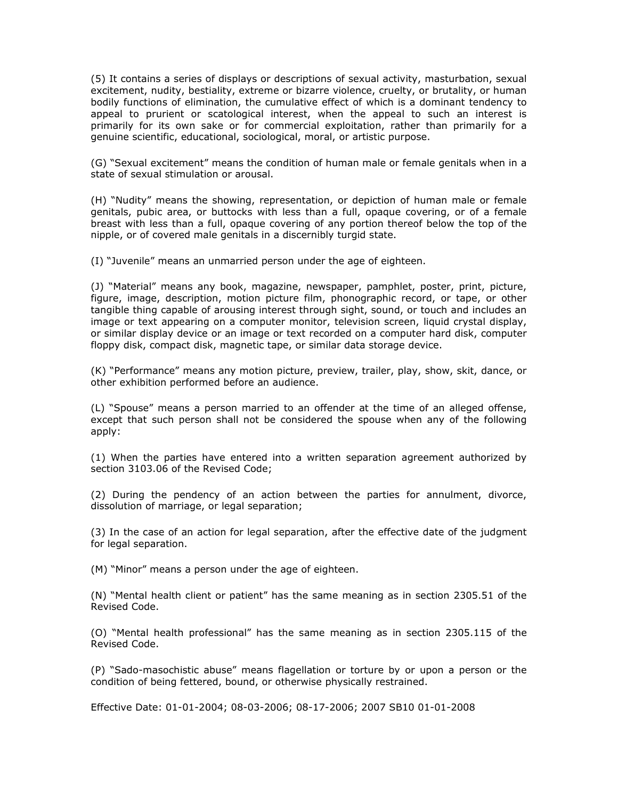(5) It contains a series of displays or descriptions of sexual activity, masturbation, sexual excitement, nudity, bestiality, extreme or bizarre violence, cruelty, or brutality, or human bodily functions of elimination, the cumulative effect of which is a dominant tendency to appeal to prurient or scatological interest, when the appeal to such an interest is primarily for its own sake or for commercial exploitation, rather than primarily for a genuine scientific, educational, sociological, moral, or artistic purpose.

(G) "Sexual excitement" means the condition of human male or female genitals when in a state of sexual stimulation or arousal.

(H) "Nudity" means the showing, representation, or depiction of human male or female genitals, pubic area, or buttocks with less than a full, opaque covering, or of a female breast with less than a full, opaque covering of any portion thereof below the top of the nipple, or of covered male genitals in a discernibly turgid state.

(I) "Juvenile" means an unmarried person under the age of eighteen.

(J) "Material" means any book, magazine, newspaper, pamphlet, poster, print, picture, figure, image, description, motion picture film, phonographic record, or tape, or other tangible thing capable of arousing interest through sight, sound, or touch and includes an image or text appearing on a computer monitor, television screen, liquid crystal display, or similar display device or an image or text recorded on a computer hard disk, computer floppy disk, compact disk, magnetic tape, or similar data storage device.

(K) "Performance" means any motion picture, preview, trailer, play, show, skit, dance, or other exhibition performed before an audience.

(L) "Spouse" means a person married to an offender at the time of an alleged offense, except that such person shall not be considered the spouse when any of the following apply:

(1) When the parties have entered into a written separation agreement authorized by section 3103.06 of the Revised Code;

(2) During the pendency of an action between the parties for annulment, divorce, dissolution of marriage, or legal separation;

(3) In the case of an action for legal separation, after the effective date of the judgment for legal separation.

(M) "Minor" means a person under the age of eighteen.

(N) "Mental health client or patient" has the same meaning as in section 2305.51 of the Revised Code.

(O) "Mental health professional" has the same meaning as in section 2305.115 of the Revised Code.

(P) "Sado-masochistic abuse" means flagellation or torture by or upon a person or the condition of being fettered, bound, or otherwise physically restrained.

Effective Date: 01-01-2004; 08-03-2006; 08-17-2006; 2007 SB10 01-01-2008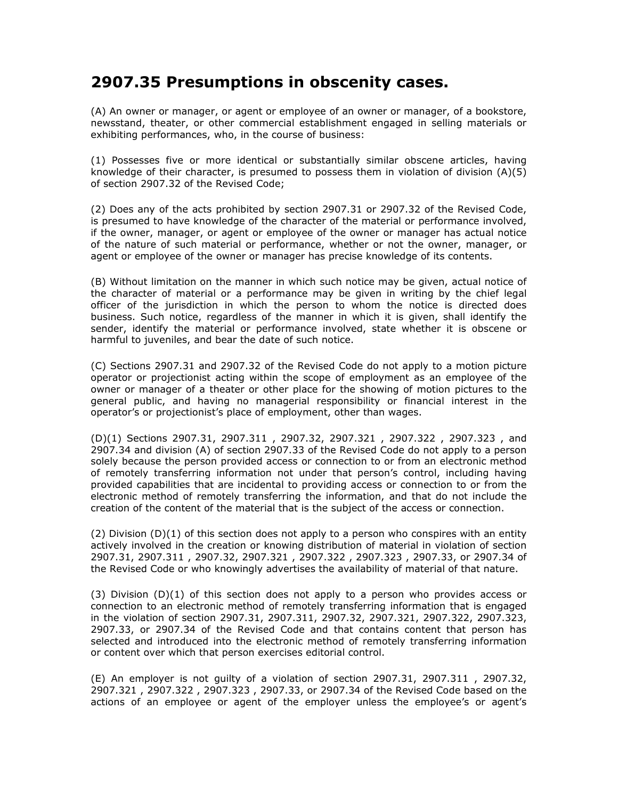## 2907.35 Presumptions in obscenity cases.

(A) An owner or manager, or agent or employee of an owner or manager, of a bookstore, newsstand, theater, or other commercial establishment engaged in selling materials or exhibiting performances, who, in the course of business:

(1) Possesses five or more identical or substantially similar obscene articles, having knowledge of their character, is presumed to possess them in violation of division (A)(5) of section 2907.32 of the Revised Code;

(2) Does any of the acts prohibited by section 2907.31 or 2907.32 of the Revised Code, is presumed to have knowledge of the character of the material or performance involved, if the owner, manager, or agent or employee of the owner or manager has actual notice of the nature of such material or performance, whether or not the owner, manager, or agent or employee of the owner or manager has precise knowledge of its contents.

(B) Without limitation on the manner in which such notice may be given, actual notice of the character of material or a performance may be given in writing by the chief legal officer of the jurisdiction in which the person to whom the notice is directed does business. Such notice, regardless of the manner in which it is given, shall identify the sender, identify the material or performance involved, state whether it is obscene or harmful to juveniles, and bear the date of such notice.

(C) Sections 2907.31 and 2907.32 of the Revised Code do not apply to a motion picture operator or projectionist acting within the scope of employment as an employee of the owner or manager of a theater or other place for the showing of motion pictures to the general public, and having no managerial responsibility or financial interest in the operator's or projectionist's place of employment, other than wages.

(D)(1) Sections 2907.31, 2907.311 , 2907.32, 2907.321 , 2907.322 , 2907.323 , and 2907.34 and division (A) of section 2907.33 of the Revised Code do not apply to a person solely because the person provided access or connection to or from an electronic method of remotely transferring information not under that person's control, including having provided capabilities that are incidental to providing access or connection to or from the electronic method of remotely transferring the information, and that do not include the creation of the content of the material that is the subject of the access or connection.

(2) Division (D)(1) of this section does not apply to a person who conspires with an entity actively involved in the creation or knowing distribution of material in violation of section 2907.31, 2907.311 , 2907.32, 2907.321 , 2907.322 , 2907.323 , 2907.33, or 2907.34 of the Revised Code or who knowingly advertises the availability of material of that nature.

(3) Division (D)(1) of this section does not apply to a person who provides access or connection to an electronic method of remotely transferring information that is engaged in the violation of section 2907.31, 2907.311, 2907.32, 2907.321, 2907.322, 2907.323, 2907.33, or 2907.34 of the Revised Code and that contains content that person has selected and introduced into the electronic method of remotely transferring information or content over which that person exercises editorial control.

(E) An employer is not guilty of a violation of section 2907.31, 2907.311 , 2907.32, 2907.321 , 2907.322 , 2907.323 , 2907.33, or 2907.34 of the Revised Code based on the actions of an employee or agent of the employer unless the employee's or agent's